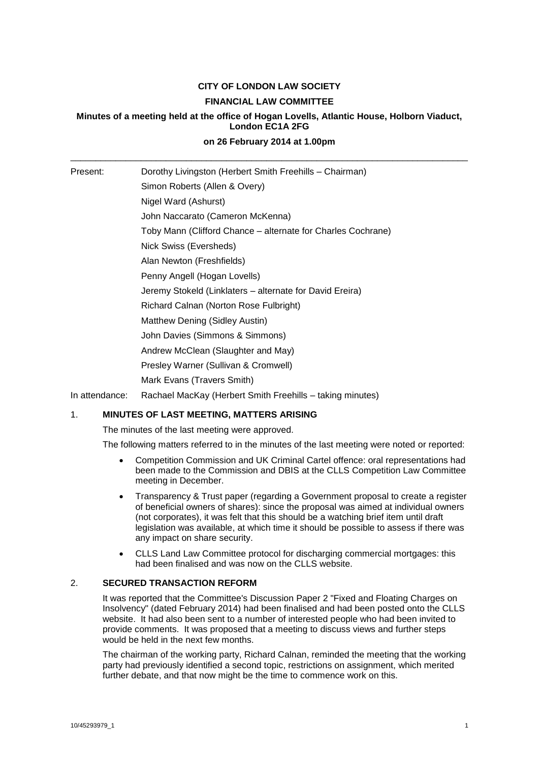# **CITY OF LONDON LAW SOCIETY FINANCIAL LAW COMMITTEE**

# **Minutes of a meeting held at the office of Hogan Lovells, Atlantic House, Holborn Viaduct, London EC1A 2FG**

# **on 26 February 2014 at 1.00pm** \_\_\_\_\_\_\_\_\_\_\_\_\_\_\_\_\_\_\_\_\_\_\_\_\_\_\_\_\_\_\_\_\_\_\_\_\_\_\_\_\_\_\_\_\_\_\_\_\_\_\_\_\_\_\_\_\_\_\_\_\_\_\_\_\_\_\_\_\_\_\_\_\_\_\_\_\_\_\_

| Present: | Dorothy Livingston (Herbert Smith Freehills - Chairman)      |
|----------|--------------------------------------------------------------|
|          | Simon Roberts (Allen & Overy)                                |
|          | Nigel Ward (Ashurst)                                         |
|          | John Naccarato (Cameron McKenna)                             |
|          | Toby Mann (Clifford Chance – alternate for Charles Cochrane) |
|          | Nick Swiss (Eversheds)                                       |
|          | Alan Newton (Freshfields)                                    |
|          | Penny Angell (Hogan Lovells)                                 |
|          | Jeremy Stokeld (Linklaters - alternate for David Ereira)     |
|          | Richard Calnan (Norton Rose Fulbright)                       |
|          | Matthew Dening (Sidley Austin)                               |
|          | John Davies (Simmons & Simmons)                              |
|          | Andrew McClean (Slaughter and May)                           |
|          | Presley Warner (Sullivan & Cromwell)                         |
|          | Mark Evans (Travers Smith)                                   |
|          |                                                              |

In attendance: Rachael MacKay (Herbert Smith Freehills – taking minutes)

# 1. **MINUTES OF LAST MEETING, MATTERS ARISING**

The minutes of the last meeting were approved.

The following matters referred to in the minutes of the last meeting were noted or reported:

- Competition Commission and UK Criminal Cartel offence: oral representations had been made to the Commission and DBIS at the CLLS Competition Law Committee meeting in December.
- Transparency & Trust paper (regarding a Government proposal to create a register of beneficial owners of shares): since the proposal was aimed at individual owners (not corporates), it was felt that this should be a watching brief item until draft legislation was available, at which time it should be possible to assess if there was any impact on share security.
- CLLS Land Law Committee protocol for discharging commercial mortgages: this had been finalised and was now on the CLLS website.

# 2. **SECURED TRANSACTION REFORM**

It was reported that the Committee's Discussion Paper 2 "Fixed and Floating Charges on Insolvency" (dated February 2014) had been finalised and had been posted onto the CLLS website. It had also been sent to a number of interested people who had been invited to provide comments. It was proposed that a meeting to discuss views and further steps would be held in the next few months.

The chairman of the working party, Richard Calnan, reminded the meeting that the working party had previously identified a second topic, restrictions on assignment, which merited further debate, and that now might be the time to commence work on this.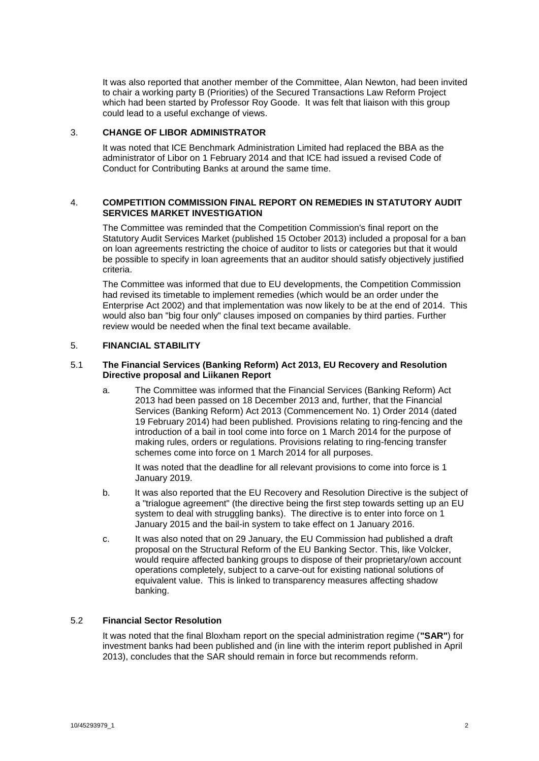It was also reported that another member of the Committee, Alan Newton, had been invited to chair a working party B (Priorities) of the Secured Transactions Law Reform Project which had been started by Professor Roy Goode. It was felt that liaison with this group could lead to a useful exchange of views.

## 3. **CHANGE OF LIBOR ADMINISTRATOR**

It was noted that ICE Benchmark Administration Limited had replaced the BBA as the administrator of Libor on 1 February 2014 and that ICE had issued a revised Code of Conduct for Contributing Banks at around the same time.

#### 4. **COMPETITION COMMISSION FINAL REPORT ON REMEDIES IN STATUTORY AUDIT SERVICES MARKET INVESTIGATION**

The Committee was reminded that the Competition Commission's final report on the Statutory Audit Services Market (published 15 October 2013) included a proposal for a ban on loan agreements restricting the choice of auditor to lists or categories but that it would be possible to specify in loan agreements that an auditor should satisfy objectively justified criteria.

The Committee was informed that due to EU developments, the Competition Commission had revised its timetable to implement remedies (which would be an order under the Enterprise Act 2002) and that implementation was now likely to be at the end of 2014. This would also ban "big four only" clauses imposed on companies by third parties. Further review would be needed when the final text became available.

## 5. **FINANCIAL STABILITY**

#### 5.1 **The Financial Services (Banking Reform) Act 2013, EU Recovery and Resolution Directive proposal and Liikanen Report**

a. The Committee was informed that the Financial Services (Banking Reform) Act 2013 had been passed on 18 December 2013 and, further, that the Financial Services (Banking Reform) Act 2013 (Commencement No. 1) Order 2014 (dated 19 February 2014) had been published. Provisions relating to ring-fencing and the introduction of a bail in tool come into force on 1 March 2014 for the purpose of making rules, orders or regulations. Provisions relating to ring-fencing transfer schemes come into force on 1 March 2014 for all purposes.

It was noted that the deadline for all relevant provisions to come into force is 1 January 2019.

- b. It was also reported that the EU Recovery and Resolution Directive is the subject of a "trialogue agreement" (the directive being the first step towards setting up an EU system to deal with struggling banks). The directive is to enter into force on 1 January 2015 and the bail-in system to take effect on 1 January 2016.
- c. It was also noted that on 29 January, the EU Commission had published a draft proposal on the Structural Reform of the EU Banking Sector. This, like Volcker, would require affected banking groups to dispose of their proprietary/own account operations completely, subject to a carve-out for existing national solutions of equivalent value. This is linked to transparency measures affecting shadow banking.

# 5.2 **Financial Sector Resolution**

It was noted that the final Bloxham report on the special administration regime (**"SAR"**) for investment banks had been published and (in line with the interim report published in April 2013), concludes that the SAR should remain in force but recommends reform.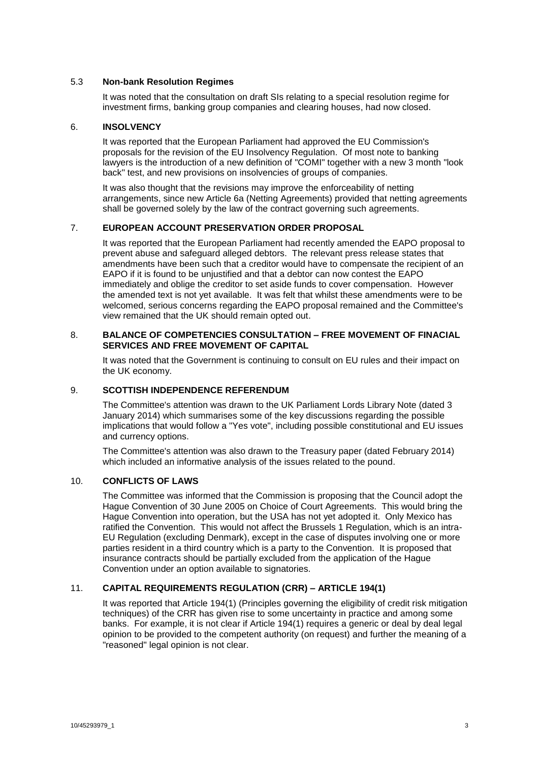## 5.3 **Non-bank Resolution Regimes**

It was noted that the consultation on draft SIs relating to a special resolution regime for investment firms, banking group companies and clearing houses, had now closed.

#### 6. **INSOLVENCY**

It was reported that the European Parliament had approved the EU Commission's proposals for the revision of the EU Insolvency Regulation. Of most note to banking lawyers is the introduction of a new definition of "COMI" together with a new 3 month "look back" test, and new provisions on insolvencies of groups of companies.

It was also thought that the revisions may improve the enforceability of netting arrangements, since new Article 6a (Netting Agreements) provided that netting agreements shall be governed solely by the law of the contract governing such agreements.

## 7. **EUROPEAN ACCOUNT PRESERVATION ORDER PROPOSAL**

It was reported that the European Parliament had recently amended the EAPO proposal to prevent abuse and safeguard alleged debtors. The relevant press release states that amendments have been such that a creditor would have to compensate the recipient of an EAPO if it is found to be unjustified and that a debtor can now contest the EAPO immediately and oblige the creditor to set aside funds to cover compensation. However the amended text is not yet available. It was felt that whilst these amendments were to be welcomed, serious concerns regarding the EAPO proposal remained and the Committee's view remained that the UK should remain opted out.

#### 8. **BALANCE OF COMPETENCIES CONSULTATION – FREE MOVEMENT OF FINACIAL SERVICES AND FREE MOVEMENT OF CAPITAL**

It was noted that the Government is continuing to consult on EU rules and their impact on the UK economy.

#### 9. **SCOTTISH INDEPENDENCE REFERENDUM**

The Committee's attention was drawn to the UK Parliament Lords Library Note (dated 3 January 2014) which summarises some of the key discussions regarding the possible implications that would follow a "Yes vote", including possible constitutional and EU issues and currency options.

The Committee's attention was also drawn to the Treasury paper (dated February 2014) which included an informative analysis of the issues related to the pound.

## 10. **CONFLICTS OF LAWS**

The Committee was informed that the Commission is proposing that the Council adopt the Hague Convention of 30 June 2005 on Choice of Court Agreements. This would bring the Hague Convention into operation, but the USA has not yet adopted it. Only Mexico has ratified the Convention. This would not affect the Brussels 1 Regulation, which is an intra-EU Regulation (excluding Denmark), except in the case of disputes involving one or more parties resident in a third country which is a party to the Convention. It is proposed that insurance contracts should be partially excluded from the application of the Hague Convention under an option available to signatories.

# 11. **CAPITAL REQUIREMENTS REGULATION (CRR) – ARTICLE 194(1)**

It was reported that Article 194(1) (Principles governing the eligibility of credit risk mitigation techniques) of the CRR has given rise to some uncertainty in practice and among some banks. For example, it is not clear if Article 194(1) requires a generic or deal by deal legal opinion to be provided to the competent authority (on request) and further the meaning of a "reasoned" legal opinion is not clear.